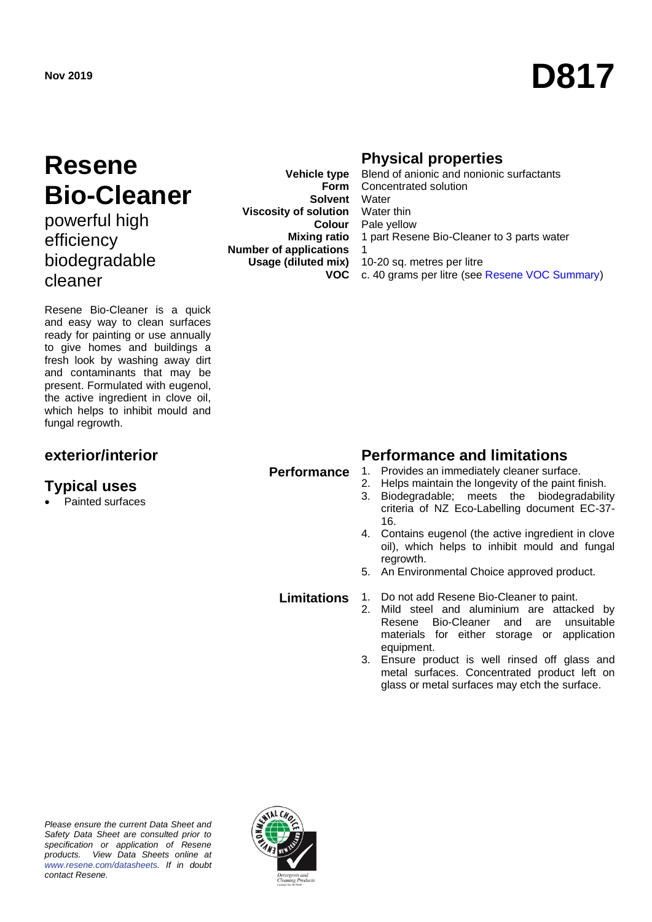# Nov 2019<br>**D817**

# **Resene Bio-Cleaner**

powerful high efficiency biodegradable cleaner

Resene Bio-Cleaner is a quick and easy way to clean surfaces ready for painting or use annually to give homes and buildings a fresh look by washing away dirt and contaminants that may be present. Formulated with eugenol, the active ingredient in clove oil, which helps to inhibit mould and fungal regrowth.

### **Typical uses**

• Painted surfaces

**Vehicle type Form Solvent** Water **Viscosity of solution** Water thin **Colour Mixing ratio Number of applications Usage (diluted mix) VOC**

### **Physical properties**

Blend of anionic and nonionic surfactants Concentrated solution Pale yellow 1 part Resene Bio-Cleaner to 3 parts water 1 10-20 sq. metres per litre c. 40 grams per litre (see [Resene VOC Summary\)](http://www.resene.co.nz/archspec/datashts/vocsummary.pdf)

### **exterior/interior Performance and limitations**

- 
- **Performance** 1. Provides an immediately cleaner surface.<br>2. Helps maintain the longevity of the paint f Helps maintain the longevity of the paint finish.
	- 3. Biodegradable; meets the biodegradability criteria of NZ Eco-Labelling document EC-37- 16.
	- 4. Contains eugenol (the active ingredient in clove oil), which helps to inhibit mould and fungal regrowth.
	- 5. An Environmental Choice approved product.

- 
- **Limitations** 1. Do not add Resene Bio-Cleaner to paint.<br>2. Mild steel and aluminium are attack Mild steel and aluminium are attacked by Resene Bio-Cleaner and are unsuitable materials for either storage or application equipment.
	- 3. Ensure product is well rinsed off glass and metal surfaces. Concentrated product left on glass or metal surfaces may etch the surface.